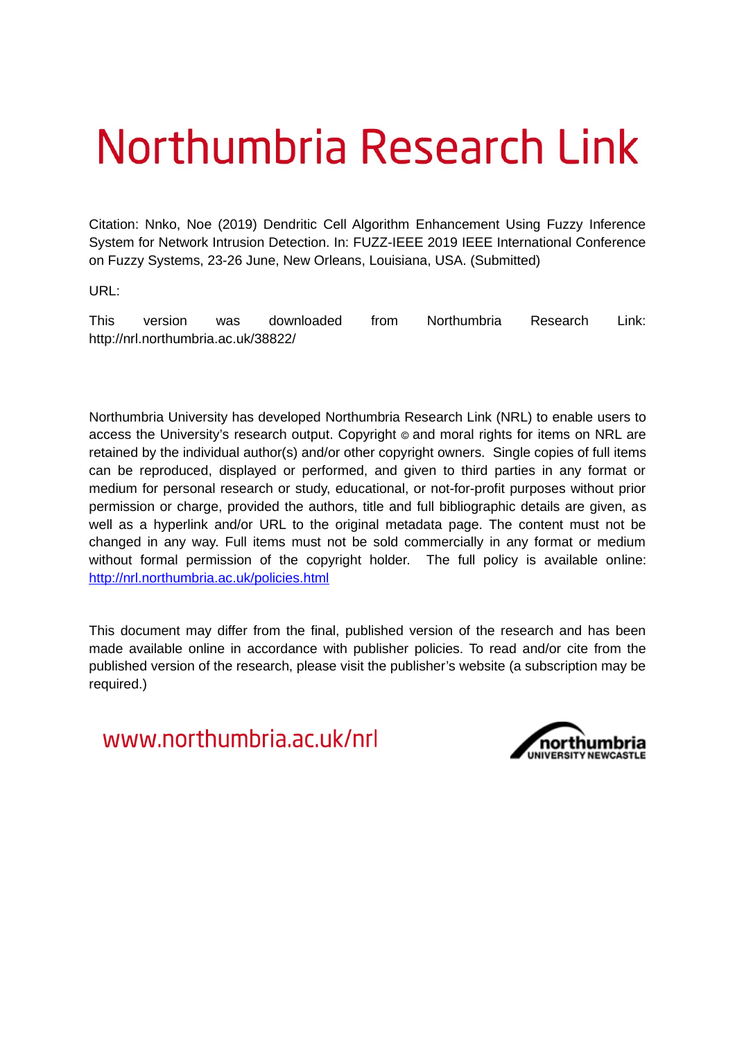# Northumbria Research Link

Citation: Nnko, Noe (2019) Dendritic Cell Algorithm Enhancement Using Fuzzy Inference System for Network Intrusion Detection. In: FUZZ-IEEE 2019 IEEE International Conference on Fuzzy Systems, 23-26 June, New Orleans, Louisiana, USA. (Submitted)

URL:

This version was downloaded from Northumbria Research Link: http://nrl.northumbria.ac.uk/38822/

Northumbria University has developed Northumbria Research Link (NRL) to enable users to access the University's research output. Copyright  $\circ$  and moral rights for items on NRL are retained by the individual author(s) and/or other copyright owners. Single copies of full items can be reproduced, displayed or performed, and given to third parties in any format or medium for personal research or study, educational, or not-for-profit purposes without prior permission or charge, provided the authors, title and full bibliographic details are given, as well as a hyperlink and/or URL to the original metadata page. The content must not be changed in any way. Full items must not be sold commercially in any format or medium without formal permission of the copyright holder. The full policy is available online: <http://nrl.northumbria.ac.uk/policies.html>

This document may differ from the final, published version of the research and has been made available online in accordance with publisher policies. To read and/or cite from the published version of the research, please visit the publisher's website (a subscription may be required.)

www.northumbria.ac.uk/nrl

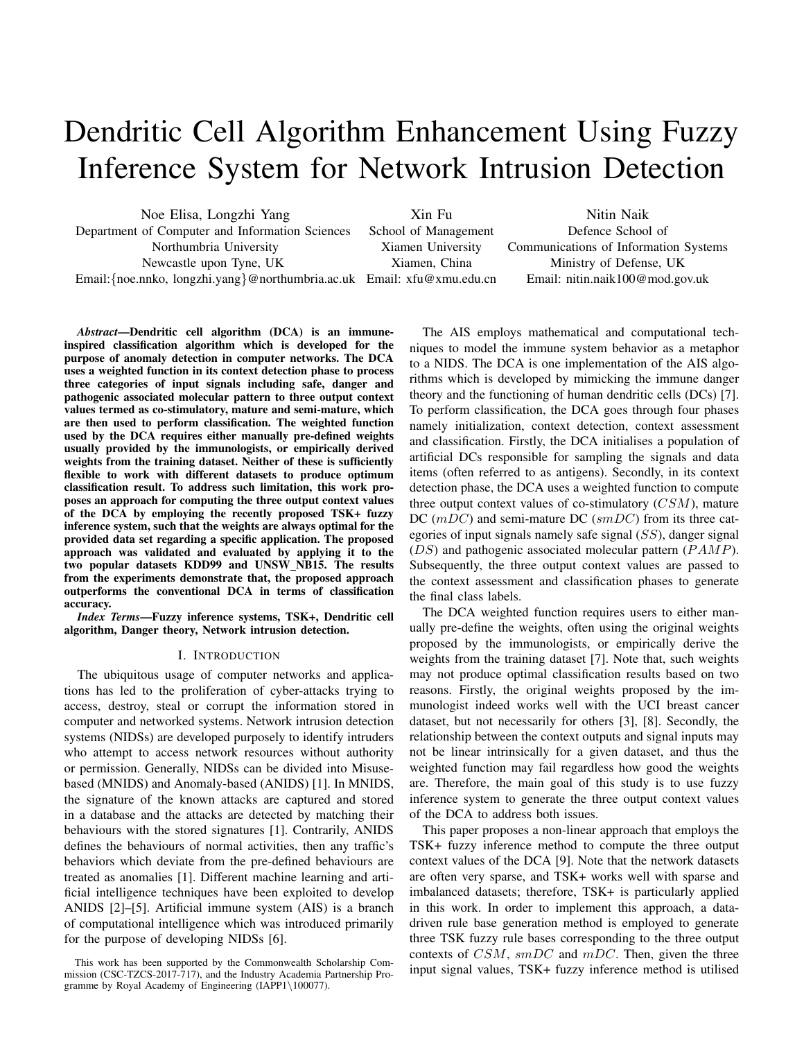# Dendritic Cell Algorithm Enhancement Using Fuzzy Inference System for Network Intrusion Detection

Noe Elisa, Longzhi Yang Department of Computer and Information Sciences Northumbria University Newcastle upon Tyne, UK Email:{noe.nnko, longzhi.yang}@northumbria.ac.uk Email: xfu@xmu.edu.cn Xin Fu School of Management Xiamen University Xiamen, China Nitin Naik Defence School of Communications of Information Systems Ministry of Defense, UK Email: nitin.naik100@mod.gov.uk

*Abstract*—Dendritic cell algorithm (DCA) is an immuneinspired classification algorithm which is developed for the purpose of anomaly detection in computer networks. The DCA uses a weighted function in its context detection phase to process three categories of input signals including safe, danger and pathogenic associated molecular pattern to three output context values termed as co-stimulatory, mature and semi-mature, which are then used to perform classification. The weighted function used by the DCA requires either manually pre-defined weights usually provided by the immunologists, or empirically derived weights from the training dataset. Neither of these is sufficiently flexible to work with different datasets to produce optimum classification result. To address such limitation, this work proposes an approach for computing the three output context values of the DCA by employing the recently proposed TSK+ fuzzy inference system, such that the weights are always optimal for the provided data set regarding a specific application. The proposed approach was validated and evaluated by applying it to the two popular datasets KDD99 and UNSW NB15. The results from the experiments demonstrate that, the proposed approach outperforms the conventional DCA in terms of classification accuracy.

*Index Terms*—Fuzzy inference systems, TSK+, Dendritic cell algorithm, Danger theory, Network intrusion detection.

### I. INTRODUCTION

The ubiquitous usage of computer networks and applications has led to the proliferation of cyber-attacks trying to access, destroy, steal or corrupt the information stored in computer and networked systems. Network intrusion detection systems (NIDSs) are developed purposely to identify intruders who attempt to access network resources without authority or permission. Generally, NIDSs can be divided into Misusebased (MNIDS) and Anomaly-based (ANIDS) [1]. In MNIDS, the signature of the known attacks are captured and stored in a database and the attacks are detected by matching their behaviours with the stored signatures [1]. Contrarily, ANIDS defines the behaviours of normal activities, then any traffic's behaviors which deviate from the pre-defined behaviours are treated as anomalies [1]. Different machine learning and artificial intelligence techniques have been exploited to develop ANIDS [2]–[5]. Artificial immune system (AIS) is a branch of computational intelligence which was introduced primarily for the purpose of developing NIDSs [6].

This work has been supported by the Commonwealth Scholarship Commission (CSC-TZCS-2017-717), and the Industry Academia Partnership Programme by Royal Academy of Engineering (IAPP1\100077).

The AIS employs mathematical and computational techniques to model the immune system behavior as a metaphor to a NIDS. The DCA is one implementation of the AIS algorithms which is developed by mimicking the immune danger theory and the functioning of human dendritic cells (DCs) [7]. To perform classification, the DCA goes through four phases namely initialization, context detection, context assessment and classification. Firstly, the DCA initialises a population of artificial DCs responsible for sampling the signals and data items (often referred to as antigens). Secondly, in its context detection phase, the DCA uses a weighted function to compute three output context values of co-stimulatory  $(CSM)$ , mature DC  $(mDC)$  and semi-mature DC  $(smDC)$  from its three categories of input signals namely safe signal  $(SS)$ , danger signal  $(DS)$  and pathogenic associated molecular pattern  $(PAMP)$ . Subsequently, the three output context values are passed to the context assessment and classification phases to generate the final class labels.

The DCA weighted function requires users to either manually pre-define the weights, often using the original weights proposed by the immunologists, or empirically derive the weights from the training dataset [7]. Note that, such weights may not produce optimal classification results based on two reasons. Firstly, the original weights proposed by the immunologist indeed works well with the UCI breast cancer dataset, but not necessarily for others [3], [8]. Secondly, the relationship between the context outputs and signal inputs may not be linear intrinsically for a given dataset, and thus the weighted function may fail regardless how good the weights are. Therefore, the main goal of this study is to use fuzzy inference system to generate the three output context values of the DCA to address both issues.

This paper proposes a non-linear approach that employs the TSK+ fuzzy inference method to compute the three output context values of the DCA [9]. Note that the network datasets are often very sparse, and TSK+ works well with sparse and imbalanced datasets; therefore, TSK+ is particularly applied in this work. In order to implement this approach, a datadriven rule base generation method is employed to generate three TSK fuzzy rule bases corresponding to the three output contexts of  $CSM$ ,  $smDC$  and  $mDC$ . Then, given the three input signal values, TSK+ fuzzy inference method is utilised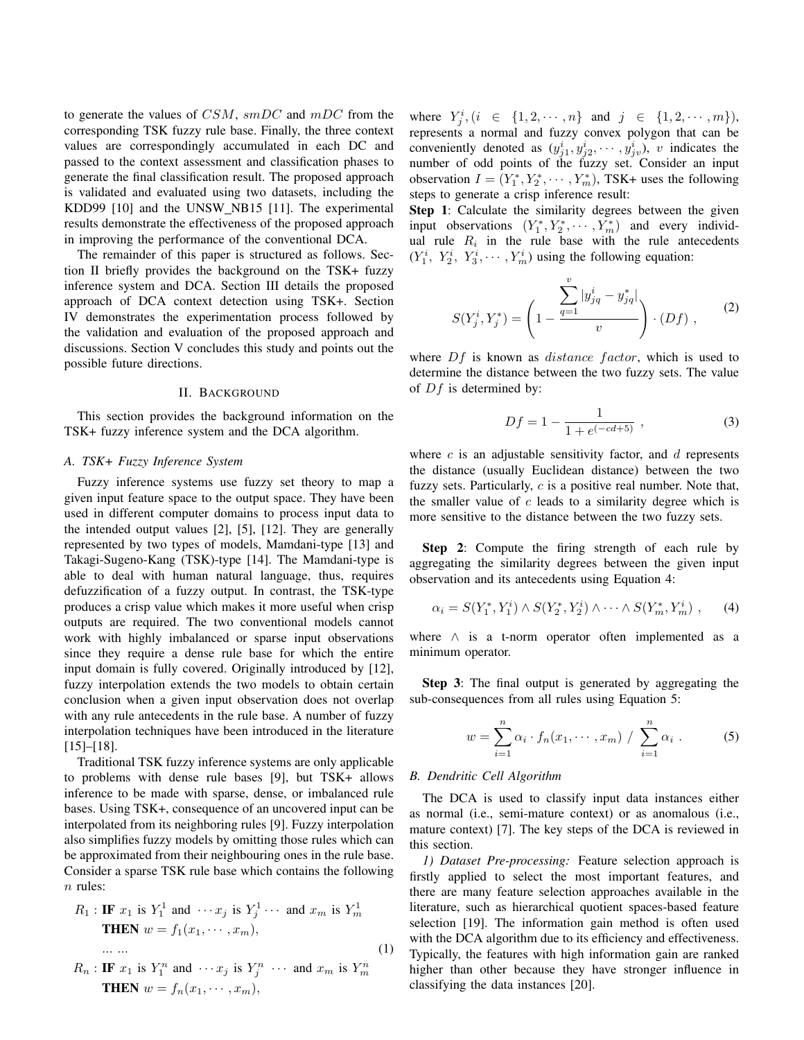to generate the values of  $CSM$ ,  $smDC$  and  $mDC$  from the corresponding TSK fuzzy rule base. Finally, the three context values are correspondingly accumulated in each DC and passed to the context assessment and classification phases to generate the final classification result. The proposed approach is validated and evaluated using two datasets, including the KDD99 [10] and the UNSW\_NB15 [11]. The experimental results demonstrate the effectiveness of the proposed approach in improving the performance of the conventional DCA.

The remainder of this paper is structured as follows. Section II briefly provides the background on the TSK+ fuzzy inference system and DCA. Section III details the proposed approach of DCA context detection using TSK+. Section IV demonstrates the experimentation process followed by the validation and evaluation of the proposed approach and discussions. Section V concludes this study and points out the possible future directions.

#### II. BACKGROUND

This section provides the background information on the TSK+ fuzzy inference system and the DCA algorithm.

### *A. TSK+ Fuzzy Inference System*

Fuzzy inference systems use fuzzy set theory to map a given input feature space to the output space. They have been used in different computer domains to process input data to the intended output values [2], [5], [12]. They are generally represented by two types of models, Mamdani-type [13] and Takagi-Sugeno-Kang (TSK)-type [14]. The Mamdani-type is able to deal with human natural language, thus, requires defuzzification of a fuzzy output. In contrast, the TSK-type produces a crisp value which makes it more useful when crisp outputs are required. The two conventional models cannot work with highly imbalanced or sparse input observations since they require a dense rule base for which the entire input domain is fully covered. Originally introduced by [12], fuzzy interpolation extends the two models to obtain certain conclusion when a given input observation does not overlap with any rule antecedents in the rule base. A number of fuzzy interpolation techniques have been introduced in the literature [15]–[18].

Traditional TSK fuzzy inference systems are only applicable to problems with dense rule bases [9], but TSK+ allows inference to be made with sparse, dense, or imbalanced rule bases. Using TSK+, consequence of an uncovered input can be interpolated from its neighboring rules [9]. Fuzzy interpolation also simplifies fuzzy models by omitting those rules which can be approximated from their neighbouring ones in the rule base. Consider a sparse TSK rule base which contains the following  $n$  rules:

$$
R_1: \textbf{IF } x_1 \text{ is } Y_1^1 \text{ and } \cdots x_j \text{ is } Y_j^1 \cdots \text{ and } x_m \text{ is } Y_m^1
$$
  
**THEN**  $w = f_1(x_1, \cdots, x_m),$ 

$$
R_n: \textbf{IF } x_1 \text{ is } Y_1^n \text{ and } \cdots x_j \text{ is } Y_j^n \cdots \text{ and } x_m \text{ is } Y_m^n
$$
  
**THEN** 
$$
w = f_n(x_1, \cdots, x_m),
$$

... ...

where  $Y_j^i$ ,  $(i \in \{1, 2, \dots, n\}$  and  $j \in \{1, 2, \dots, m\}$ , represents a normal and fuzzy convex polygon that can be conveniently denoted as  $(y_{j1}^i, y_{j2}^i, \dots, y_{j\nu}^i)$ , v indicates the number of odd points of the fuzzy set. Consider an input observation  $I = (Y_1^*, Y_2^*, \cdots, Y_m^*)$ , TSK+ uses the following steps to generate a crisp inference result:

Step 1: Calculate the similarity degrees between the given input observations  $(Y_1^*, Y_2^*, \cdots, Y_m^*)$  and every individual rule  $R_i$  in the rule base with the rule antecedents  $(Y_1^i, Y_2^i, Y_3^i, \dots, Y_m^i)$  using the following equation:

$$
S(Y_j^i, Y_j^*) = \left(1 - \frac{\sum_{q=1}^v |y_{jq}^i - y_{jq}^*|}{v}\right) \cdot (Df) , \qquad (2)
$$

where  $Df$  is known as *distance factor*, which is used to determine the distance between the two fuzzy sets. The value of  $Df$  is determined by:

$$
Df = 1 - \frac{1}{1 + e^{(-cd+5)}},\tag{3}
$$

where  $c$  is an adjustable sensitivity factor, and  $d$  represents the distance (usually Euclidean distance) between the two fuzzy sets. Particularly,  $c$  is a positive real number. Note that, the smaller value of  $c$  leads to a similarity degree which is more sensitive to the distance between the two fuzzy sets.

Step 2: Compute the firing strength of each rule by aggregating the similarity degrees between the given input observation and its antecedents using Equation 4:

$$
\alpha_i = S(Y_1^*, Y_1^i) \wedge S(Y_2^*, Y_2^i) \wedge \cdots \wedge S(Y_m^*, Y_m^i) , \qquad (4)
$$

where  $\wedge$  is a t-norm operator often implemented as a minimum operator.

Step 3: The final output is generated by aggregating the sub-consequences from all rules using Equation 5:

$$
w = \sum_{i=1}^{n} \alpha_i \cdot f_n(x_1, \cdots, x_m) / \sum_{i=1}^{n} \alpha_i .
$$
 (5)

#### *B. Dendritic Cell Algorithm*

(1)

The DCA is used to classify input data instances either as normal (i.e., semi-mature context) or as anomalous (i.e., mature context) [7]. The key steps of the DCA is reviewed in this section.

*1) Dataset Pre-processing:* Feature selection approach is firstly applied to select the most important features, and there are many feature selection approaches available in the literature, such as hierarchical quotient spaces-based feature selection [19]. The information gain method is often used with the DCA algorithm due to its efficiency and effectiveness. Typically, the features with high information gain are ranked higher than other because they have stronger influence in classifying the data instances [20].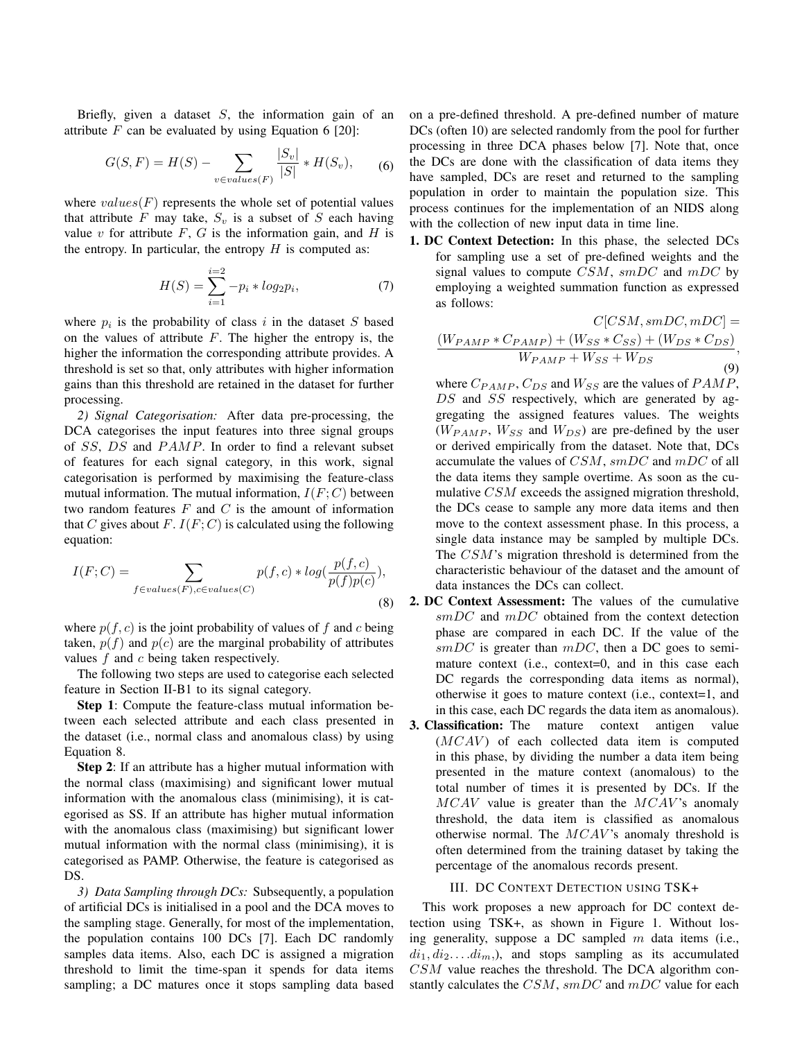Briefly, given a dataset  $S$ , the information gain of an attribute  $F$  can be evaluated by using Equation 6 [20]:

$$
G(S, F) = H(S) - \sum_{v \in values(F)} \frac{|S_v|}{|S|} * H(S_v), \quad (6)
$$

where  $values(F)$  represents the whole set of potential values that attribute F may take,  $S_v$  is a subset of S each having value  $v$  for attribute  $F$ ,  $G$  is the information gain, and  $H$  is the entropy. In particular, the entropy  $H$  is computed as:

$$
H(S) = \sum_{i=1}^{i=2} -p_i * log_2 p_i,
$$
 (7)

where  $p_i$  is the probability of class i in the dataset S based on the values of attribute  $F$ . The higher the entropy is, the higher the information the corresponding attribute provides. A threshold is set so that, only attributes with higher information gains than this threshold are retained in the dataset for further processing.

*2) Signal Categorisation:* After data pre-processing, the DCA categorises the input features into three signal groups of SS, DS and PAMP. In order to find a relevant subset of features for each signal category, in this work, signal categorisation is performed by maximising the feature-class mutual information. The mutual information,  $I(F; C)$  between two random features  $F$  and  $C$  is the amount of information that C gives about F.  $I(F; C)$  is calculated using the following equation:

$$
I(F;C) = \sum_{f \in values(F), c \in values(C)} p(f,c) * log(\frac{p(f,c)}{p(f)p(c)}),
$$
\n(8)

where  $p(f, c)$  is the joint probability of values of f and c being taken,  $p(f)$  and  $p(c)$  are the marginal probability of attributes values  $f$  and  $c$  being taken respectively.

The following two steps are used to categorise each selected feature in Section II-B1 to its signal category.

Step 1: Compute the feature-class mutual information between each selected attribute and each class presented in the dataset (i.e., normal class and anomalous class) by using Equation 8.

Step 2: If an attribute has a higher mutual information with the normal class (maximising) and significant lower mutual information with the anomalous class (minimising), it is categorised as SS. If an attribute has higher mutual information with the anomalous class (maximising) but significant lower mutual information with the normal class (minimising), it is categorised as PAMP. Otherwise, the feature is categorised as DS.

*3) Data Sampling through DCs:* Subsequently, a population of artificial DCs is initialised in a pool and the DCA moves to the sampling stage. Generally, for most of the implementation, the population contains 100 DCs [7]. Each DC randomly samples data items. Also, each DC is assigned a migration threshold to limit the time-span it spends for data items sampling; a DC matures once it stops sampling data based on a pre-defined threshold. A pre-defined number of mature DCs (often 10) are selected randomly from the pool for further processing in three DCA phases below [7]. Note that, once the DCs are done with the classification of data items they have sampled, DCs are reset and returned to the sampling population in order to maintain the population size. This process continues for the implementation of an NIDS along with the collection of new input data in time line.

1. DC Context Detection: In this phase, the selected DCs for sampling use a set of pre-defined weights and the signal values to compute  $CSM$ ,  $smDC$  and  $mDC$  by employing a weighted summation function as expressed as follows:

$$
C[CSM, smDC, mDC] =
$$
  
\n
$$
\frac{(W_{PAMP} * C_{PAMP}) + (W_{SS} * C_{SS}) + (W_{DS} * C_{DS})}{W_{PAMP} + W_{SS} + W_{DS}},
$$
\n(9)

where  $C_{PAMP}$ ,  $C_{DS}$  and  $W_{SS}$  are the values of  $PAMP$ , DS and SS respectively, which are generated by aggregating the assigned features values. The weights  $(W_{PAMP}, W_{SS}$  and  $W_{DS}$ ) are pre-defined by the user or derived empirically from the dataset. Note that, DCs accumulate the values of CSM, smDC and mDC of all the data items they sample overtime. As soon as the cumulative CSM exceeds the assigned migration threshold, the DCs cease to sample any more data items and then move to the context assessment phase. In this process, a single data instance may be sampled by multiple DCs. The CSM's migration threshold is determined from the characteristic behaviour of the dataset and the amount of data instances the DCs can collect.

- 2. DC Context Assessment: The values of the cumulative  $smDC$  and  $mDC$  obtained from the context detection phase are compared in each DC. If the value of the  $smDC$  is greater than  $mDC$ , then a DC goes to semimature context (i.e., context=0, and in this case each DC regards the corresponding data items as normal), otherwise it goes to mature context (i.e., context=1, and in this case, each DC regards the data item as anomalous).
- 3. Classification: The mature context antigen value  $(MCAV)$  of each collected data item is computed in this phase, by dividing the number a data item being presented in the mature context (anomalous) to the total number of times it is presented by DCs. If the  $MCAV$  value is greater than the  $MCAV$ 's anomaly threshold, the data item is classified as anomalous otherwise normal. The  $MCAV$ 's anomaly threshold is often determined from the training dataset by taking the percentage of the anomalous records present.

#### III. DC CONTEXT DETECTION USING TSK+

This work proposes a new approach for DC context detection using TSK+, as shown in Figure 1. Without losing generality, suppose a DC sampled  $m$  data items (i.e.,  $di_1, di_2, \ldots di_m$ , and stops sampling as its accumulated  $CSM$  value reaches the threshold. The DCA algorithm constantly calculates the  $CSM$ ,  $smDC$  and  $mDC$  value for each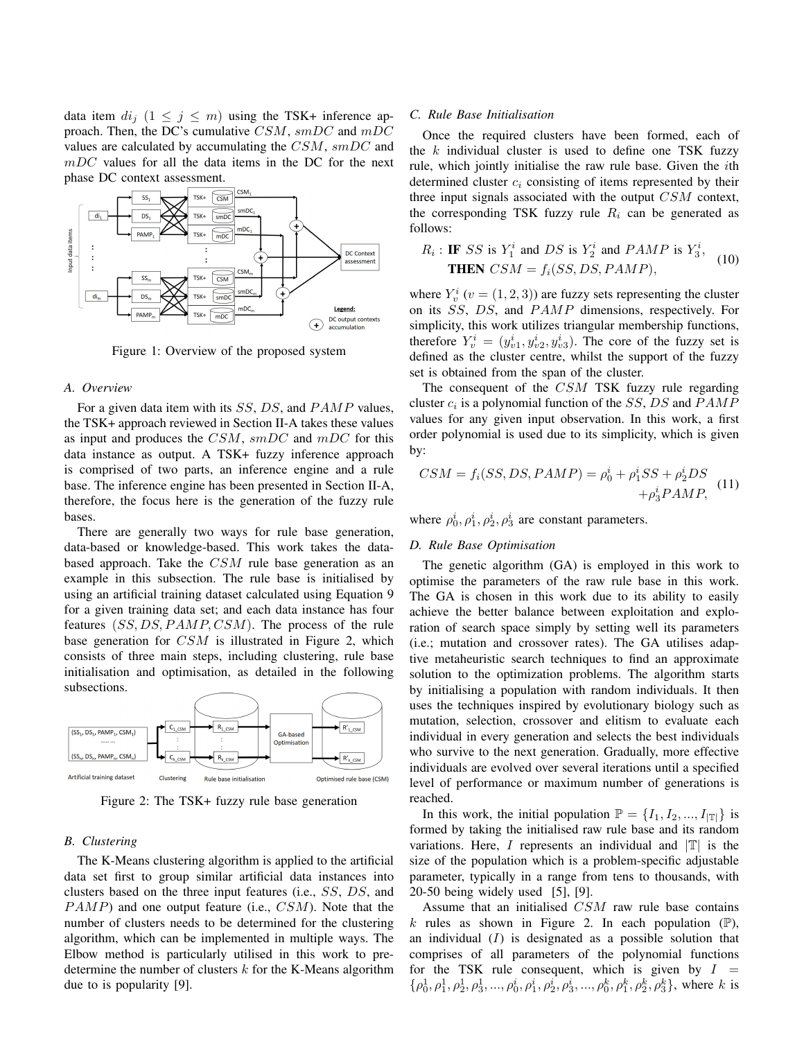data item  $di_j$   $(1 \leq j \leq m)$  using the TSK+ inference approach. Then, the DC's cumulative  $CSM$ ,  $smDC$  and  $mDC$ values are calculated by accumulating the  $CSM$ ,  $smDC$  and  $mDC$  values for all the data items in the DC for the next phase DC context assessment.



Figure 1: Overview of the proposed system

### *A. Overview*

For a given data item with its  $SS$ ,  $DS$ , and  $PAMP$  values, the TSK+ approach reviewed in Section II-A takes these values as input and produces the  $CSM$ ,  $smDC$  and  $mDC$  for this data instance as output. A TSK+ fuzzy inference approach is comprised of two parts, an inference engine and a rule base. The inference engine has been presented in Section II-A, therefore, the focus here is the generation of the fuzzy rule bases.

There are generally two ways for rule base generation, data-based or knowledge-based. This work takes the databased approach. Take the  $CSM$  rule base generation as an example in this subsection. The rule base is initialised by using an artificial training dataset calculated using Equation 9 for a given training data set; and each data instance has four features  $(SS, DS, PAMP, CSM)$ . The process of the rule base generation for CSM is illustrated in Figure 2, which consists of three main steps, including clustering, rule base initialisation and optimisation, as detailed in the following subsections.



Figure 2: The TSK+ fuzzy rule base generation

#### *B. Clustering*

The K-Means clustering algorithm is applied to the artificial data set first to group similar artificial data instances into clusters based on the three input features (i.e., SS, DS, and  $PAMP$ ) and one output feature (i.e.,  $CSM$ ). Note that the number of clusters needs to be determined for the clustering algorithm, which can be implemented in multiple ways. The Elbow method is particularly utilised in this work to predetermine the number of clusters  $k$  for the K-Means algorithm due to is popularity [9].

# *C. Rule Base Initialisation*

Once the required clusters have been formed, each of the  $k$  individual cluster is used to define one TSK fuzzy rule, which jointly initialise the raw rule base. Given the ith determined cluster  $c_i$  consisting of items represented by their three input signals associated with the output  $CSM$  context, the corresponding TSK fuzzy rule  $R_i$  can be generated as follows:

$$
R_i: \text{IF } SS \text{ is } Y_1^i \text{ and } DS \text{ is } Y_2^i \text{ and } PAMP \text{ is } Y_3^i,
$$
  
THEN  $CSM = f_i(SS, DS, PAMP)$ , (10)

where  $Y_v^i$  ( $v = (1, 2, 3)$ ) are fuzzy sets representing the cluster on its SS, DS, and PAMP dimensions, respectively. For simplicity, this work utilizes triangular membership functions, therefore  $Y_v^i = (y_{v1}^i, y_{v2}^i, y_{v3}^i)$ . The core of the fuzzy set is defined as the cluster centre, whilst the support of the fuzzy set is obtained from the span of the cluster.

The consequent of the CSM TSK fuzzy rule regarding cluster  $c_i$  is a polynomial function of the SS, DS and  $PAMP$ values for any given input observation. In this work, a first order polynomial is used due to its simplicity, which is given by:

$$
CSM = f_i(SS, DS, PAMP) = \rho_0^i + \rho_1^i SS + \rho_2^i DS
$$
  
+  $\rho_3^i PAMP$ , (11)

where  $\rho_0^i$ ,  $\rho_1^i$ ,  $\rho_2^i$ ,  $\rho_3^i$  are constant parameters.

### *D. Rule Base Optimisation*

The genetic algorithm (GA) is employed in this work to optimise the parameters of the raw rule base in this work. The GA is chosen in this work due to its ability to easily achieve the better balance between exploitation and exploration of search space simply by setting well its parameters (i.e.; mutation and crossover rates). The GA utilises adaptive metaheuristic search techniques to find an approximate solution to the optimization problems. The algorithm starts by initialising a population with random individuals. It then uses the techniques inspired by evolutionary biology such as mutation, selection, crossover and elitism to evaluate each individual in every generation and selects the best individuals who survive to the next generation. Gradually, more effective individuals are evolved over several iterations until a specified level of performance or maximum number of generations is reached.

In this work, the initial population  $\mathbb{P} = \{I_1, I_2, ..., I_{|\mathbb{T}|}\}\$ is formed by taking the initialised raw rule base and its random variations. Here, I represents an individual and  $|\mathbb{T}|$  is the size of the population which is a problem-specific adjustable parameter, typically in a range from tens to thousands, with 20-50 being widely used [5], [9].

Assume that an initialised CSM raw rule base contains k rules as shown in Figure 2. In each population  $(\mathbb{P})$ , an individual  $(I)$  is designated as a possible solution that comprises of all parameters of the polynomial functions for the TSK rule consequent, which is given by  $I =$  $\{\rho_0^1, \rho_1^1, \rho_2^1, \rho_3^1, ..., \rho_0^i, \rho_1^i, \rho_2^i, \rho_3^i, ..., \rho_0^k, \rho_1^k, \rho_2^k, \rho_3^k\}$ , where k is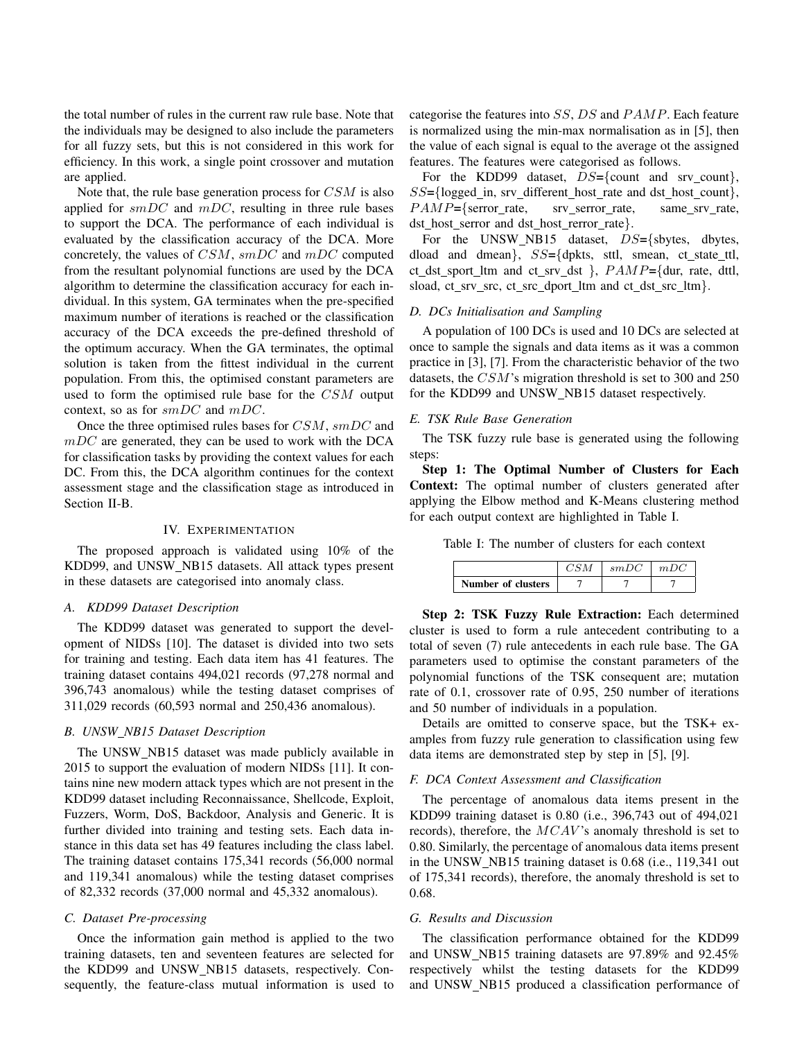the total number of rules in the current raw rule base. Note that the individuals may be designed to also include the parameters for all fuzzy sets, but this is not considered in this work for efficiency. In this work, a single point crossover and mutation are applied.

Note that, the rule base generation process for  $CSM$  is also applied for  $smDC$  and  $mDC$ , resulting in three rule bases to support the DCA. The performance of each individual is evaluated by the classification accuracy of the DCA. More concretely, the values of  $CSM$ ,  $smDC$  and  $mDC$  computed from the resultant polynomial functions are used by the DCA algorithm to determine the classification accuracy for each individual. In this system, GA terminates when the pre-specified maximum number of iterations is reached or the classification accuracy of the DCA exceeds the pre-defined threshold of the optimum accuracy. When the GA terminates, the optimal solution is taken from the fittest individual in the current population. From this, the optimised constant parameters are used to form the optimised rule base for the CSM output context, so as for smDC and mDC.

Once the three optimised rules bases for CSM,  $smDC$  and  $mDC$  are generated, they can be used to work with the DCA for classification tasks by providing the context values for each DC. From this, the DCA algorithm continues for the context assessment stage and the classification stage as introduced in Section II-B.

#### IV. EXPERIMENTATION

The proposed approach is validated using 10% of the KDD99, and UNSW NB15 datasets. All attack types present in these datasets are categorised into anomaly class.

# *A. KDD99 Dataset Description*

The KDD99 dataset was generated to support the development of NIDSs [10]. The dataset is divided into two sets for training and testing. Each data item has 41 features. The training dataset contains 494,021 records (97,278 normal and 396,743 anomalous) while the testing dataset comprises of 311,029 records (60,593 normal and 250,436 anomalous).

# *B. UNSW NB15 Dataset Description*

The UNSW\_NB15 dataset was made publicly available in 2015 to support the evaluation of modern NIDSs [11]. It contains nine new modern attack types which are not present in the KDD99 dataset including Reconnaissance, Shellcode, Exploit, Fuzzers, Worm, DoS, Backdoor, Analysis and Generic. It is further divided into training and testing sets. Each data instance in this data set has 49 features including the class label. The training dataset contains 175,341 records (56,000 normal and 119,341 anomalous) while the testing dataset comprises of 82,332 records (37,000 normal and 45,332 anomalous).

# *C. Dataset Pre-processing*

Once the information gain method is applied to the two training datasets, ten and seventeen features are selected for the KDD99 and UNSW NB15 datasets, respectively. Consequently, the feature-class mutual information is used to

categorise the features into SS, DS and PAMP. Each feature is normalized using the min-max normalisation as in [5], then the value of each signal is equal to the average ot the assigned features. The features were categorised as follows.

For the KDD99 dataset,  $DS = \{$ count and srv count $\}$ ,  $SS=\{\text{logged_in, srv\_different\_host\_rate and dst\_host\_count}\},\$  $PAMP=\{server_rate, \text{ } srv\_serveror\_rate, \text{ } same\_srv\_rate,$ dst\_host\_serror and dst\_host\_rerror\_rate}.

For the UNSW\_NB15 dataset,  $DS=\{sbytes, \text{dbytes}, \text{dbytes}\}$ dload and dmean},  $SS = \{d$ pkts, sttl, smean, ct\_state\_ttl, ct dst sport ltm and ct srv dst  $\}$ ,  $PAMP = \{dur, rate, dt1,$ sload, ct\_srv\_src, ct\_src\_dport\_ltm and ct\_dst\_src\_ltm}.

# *D. DCs Initialisation and Sampling*

A population of 100 DCs is used and 10 DCs are selected at once to sample the signals and data items as it was a common practice in [3], [7]. From the characteristic behavior of the two datasets, the CSM's migration threshold is set to 300 and 250 for the KDD99 and UNSW\_NB15 dataset respectively.

# *E. TSK Rule Base Generation*

The TSK fuzzy rule base is generated using the following steps:

Step 1: The Optimal Number of Clusters for Each Context: The optimal number of clusters generated after applying the Elbow method and K-Means clustering method for each output context are highlighted in Table I.

Table I: The number of clusters for each context

|                    | smDC | mD |
|--------------------|------|----|
| Number of clusters |      |    |

Step 2: TSK Fuzzy Rule Extraction: Each determined cluster is used to form a rule antecedent contributing to a total of seven (7) rule antecedents in each rule base. The GA parameters used to optimise the constant parameters of the polynomial functions of the TSK consequent are; mutation rate of 0.1, crossover rate of 0.95, 250 number of iterations and 50 number of individuals in a population.

Details are omitted to conserve space, but the TSK+ examples from fuzzy rule generation to classification using few data items are demonstrated step by step in [5], [9].

#### *F. DCA Context Assessment and Classification*

The percentage of anomalous data items present in the KDD99 training dataset is 0.80 (i.e., 396,743 out of 494,021 records), therefore, the MCAV's anomaly threshold is set to 0.80. Similarly, the percentage of anomalous data items present in the UNSW NB15 training dataset is 0.68 (i.e., 119,341 out of 175,341 records), therefore, the anomaly threshold is set to 0.68.

#### *G. Results and Discussion*

The classification performance obtained for the KDD99 and UNSW\_NB15 training datasets are 97.89% and 92.45% respectively whilst the testing datasets for the KDD99 and UNSW NB15 produced a classification performance of